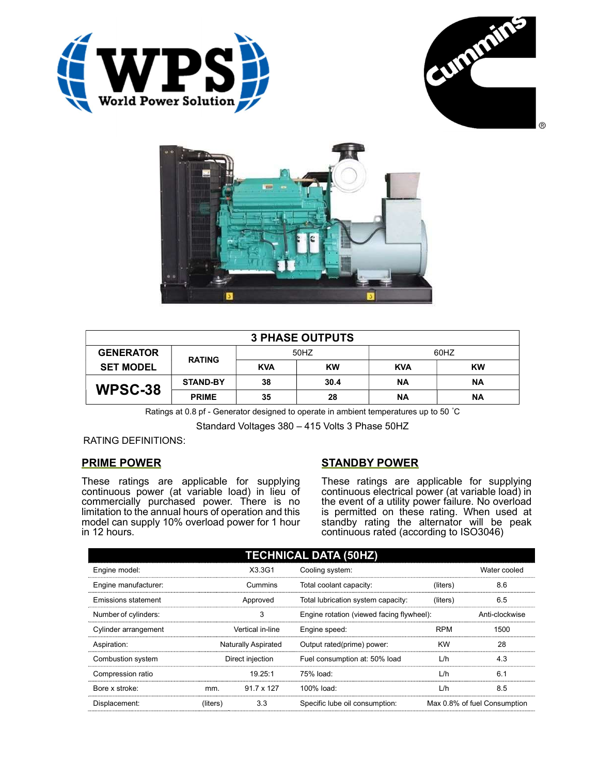





| <b>3 PHASE OUTPUTS</b> |                 |            |           |            |           |  |  |
|------------------------|-----------------|------------|-----------|------------|-----------|--|--|
| <b>GENERATOR</b>       | <b>RATING</b>   | 50HZ       |           | 60HZ       |           |  |  |
| <b>SET MODEL</b>       |                 | <b>KVA</b> | <b>KW</b> | <b>KVA</b> | <b>KW</b> |  |  |
| WPSC-38                | <b>STAND-BY</b> | 38         | 30.4      | <b>NA</b>  | <b>NA</b> |  |  |
|                        | <b>PRIME</b>    | 35         | 28        | ΝA         | <b>NA</b> |  |  |

Ratings at 0.8 pf - Generator designed to operate in ambient temperatures up to 50 °C

Standard Voltages 380 – 415 Volts 3 Phase 50HZ

### RATING DEFINITIONS:

# PRIME POWER

These ratings are applicable for supplying continuous power (at variable load) in lieu of commercially purchased power. There is no limitation to the annual hours of operation and this model can supply 10% overload power for 1 hour in 12 hours.

# STANDBY POWER

These ratings are applicable for supplying continuous electrical power (at variable load) in the event of a utility power failure. No overload is permitted on these rating. When used at standby rating the alternator will be peak continuous rated (according to ISO3046)

| <b>TECHNICAL DATA (50HZ)</b> |                            |                   |                                           |            |                              |  |  |
|------------------------------|----------------------------|-------------------|-------------------------------------------|------------|------------------------------|--|--|
| Engine model:                |                            | X3.3G1            | Cooling system:                           |            | Water cooled                 |  |  |
| Engine manufacturer:         | Cummins                    |                   | Total coolant capacity:                   | (liters)   | 8.6                          |  |  |
| Emissions statement          | Approved                   |                   | Total lubrication system capacity:        | (liters)   | 6.5                          |  |  |
| Number of cylinders:         | 3                          |                   | Engine rotation (viewed facing flywheel): |            | Anti-clockwise               |  |  |
| Cylinder arrangement         | Vertical in-line           |                   | Engine speed:                             | <b>RPM</b> | 1500                         |  |  |
| Aspiration:                  | <b>Naturally Aspirated</b> |                   | Output rated(prime) power:                | <b>KW</b>  | 28                           |  |  |
| Combustion system            | Direct injection           |                   | Fuel consumption at: 50% load             | L/h        | 4.3                          |  |  |
| Compression ratio            |                            | 19.25:1           | 75% load:                                 | L/h        | 6.1                          |  |  |
| Bore x stroke:               | mm.                        | $91.7 \times 127$ | 100% load:                                | L/h        | 8.5                          |  |  |
| Displacement:                | (liters)                   | 3.3               | Specific lube oil consumption:            |            | Max 0.8% of fuel Consumption |  |  |